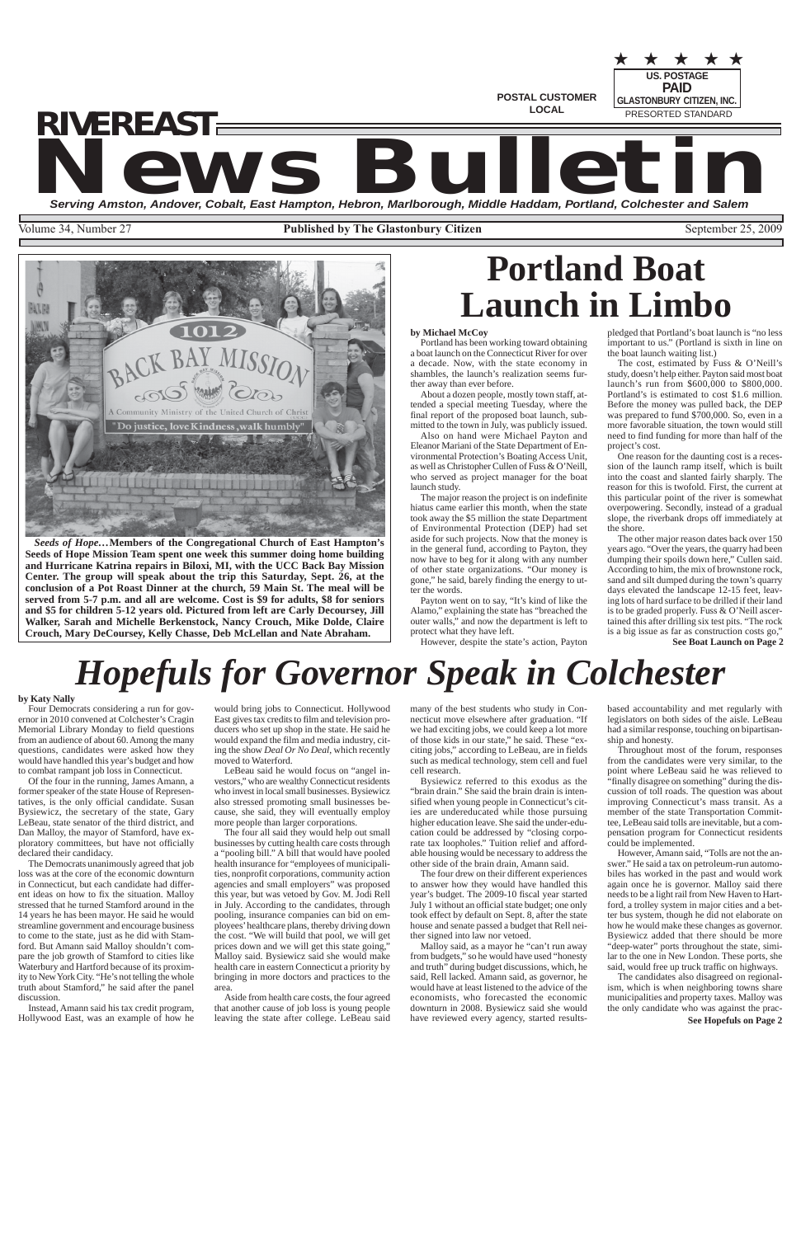**POSTAL CUSTOMER LOCAL**

**US. POSTAGE** PRESORTED STANDARD ★ ★ ★ ★ ★ **PAID GLASTONBURY CITIZEN, INC.**

# **NEWS BULLET AND SERVICE AND SERVICE AND SERVICE AND SERVICE AND SERVICE AND SERVICE AND SERVICE AND SERVICE AND SERVICE AND SERVICE AND SERVICE AND SERVICE AND SERVICE AND SERVICE AND SERVICE AND SERVICE AND SERVICE AND S** *RIVEREAST*

Volume 34, Number 27 **Published by The Glastonbury Citizen** September 25, 2009



**See Boat Launch on Page 2**

*Seeds of Hope…***Members of the Congregational Church of East Hampton's Seeds of Hope Mission Team spent one week this summer doing home building and Hurricane Katrina repairs in Biloxi, MI, with the UCC Back Bay Mission Center. The group will speak about the trip this Saturday, Sept. 26, at the conclusion of a Pot Roast Dinner at the church, 59 Main St. The meal will be served from 5-7 p.m. and all are welcome. Cost is \$9 for adults, \$8 for seniors and \$5 for children 5-12 years old. Pictured from left are Carly Decoursey, Jill Walker, Sarah and Michelle Berkenstock, Nancy Crouch, Mike Dolde, Claire Crouch, Mary DeCoursey, Kelly Chasse, Deb McLellan and Nate Abraham.**

# **Portland Boat Launch in Limbo**

## **by Michael McCoy**

Portland has been working toward obtaining a boat launch on the Connecticut River for over a decade. Now, with the state economy in shambles, the launch's realization seems further away than ever before.

About a dozen people, mostly town staff, attended a special meeting Tuesday, where the final report of the proposed boat launch, submitted to the town in July, was publicly issued.

Also on hand were Michael Payton and Eleanor Mariani of the State Department of Environmental Protection's Boating Access Unit, as well as Christopher Cullen of Fuss & O'Neill, who served as project manager for the boat launch study.

The major reason the project is on indefinite hiatus came earlier this month, when the state took away the \$5 million the state Department of Environmental Protection (DEP) had set aside for such projects. Now that the money is in the general fund, according to Payton, they now have to beg for it along with any number of other state organizations. "Our money is gone," he said, barely finding the energy to utter the words.

Payton went on to say, "It's kind of like the Alamo," explaining the state has "breached the outer walls," and now the department is left to

protect what they have left. However, despite the state's action, Payton pledged that Portland's boat launch is "no less important to us." (Portland is sixth in line on the boat launch waiting list.)

The cost, estimated by Fuss & O'Neill's study, doesn't help either. Payton said most boat launch's run from \$600,000 to \$800,000. Portland's is estimated to cost \$1.6 million. Before the money was pulled back, the DEP was prepared to fund \$700,000. So, even in a more favorable situation, the town would still need to find funding for more than half of the project's cost.

One reason for the daunting cost is a recession of the launch ramp itself, which is built into the coast and slanted fairly sharply. The reason for this is twofold. First, the current at this particular point of the river is somewhat overpowering. Secondly, instead of a gradual slope, the riverbank drops off immediately at the shore.

The other major reason dates back over 150 years ago. "Over the years, the quarry had been dumping their spoils down here," Cullen said. According to him, the mix of brownstone rock, sand and silt dumped during the town's quarry days elevated the landscape 12-15 feet, leaving lots of hard surface to be drilled if their land is to be graded properly. Fuss & O'Neill ascertained this after drilling six test pits. "The rock is a big issue as far as construction costs go,"

# *Hopefuls for Governor Speak in Colchester*

**See Hopefuls on Page 2**

## **by Katy Nally**

Four Democrats considering a run for governor in 2010 convened at Colchester's Cragin Memorial Library Monday to field questions from an audience of about 60. Among the many questions, candidates were asked how they would have handled this year's budget and how to combat rampant job loss in Connecticut.

Of the four in the running, James Amann, a former speaker of the state House of Representatives, is the only official candidate. Susan Bysiewicz, the secretary of the state, Gary LeBeau, state senator of the third district, and Dan Malloy, the mayor of Stamford, have exploratory committees, but have not officially declared their candidacy.

The Democrats unanimously agreed that job loss was at the core of the economic downturn in Connecticut, but each candidate had different ideas on how to fix the situation. Malloy stressed that he turned Stamford around in the 14 years he has been mayor. He said he would streamline government and encourage business to come to the state, just as he did with Stamford. But Amann said Malloy shouldn't compare the job growth of Stamford to cities like Waterbury and Hartford because of its proximity to New York City. "He's not telling the whole truth about Stamford," he said after the panel discussion.

Instead, Amann said his tax credit program, Hollywood East, was an example of how he

would bring jobs to Connecticut. Hollywood East gives tax credits to film and television producers who set up shop in the state. He said he would expand the film and media industry, citing the show *Deal Or No Deal*, which recently moved to Waterford.

LeBeau said he would focus on "angel investors," who are wealthy Connecticut residents who invest in local small businesses. Bysiewicz also stressed promoting small businesses because, she said, they will eventually employ more people than larger corporations.

The four all said they would help out small businesses by cutting health care costs through a "pooling bill." A bill that would have pooled health insurance for "employees of municipalities, nonprofit corporations, community action agencies and small employers" was proposed this year, but was vetoed by Gov. M. Jodi Rell in July. According to the candidates, through pooling, insurance companies can bid on employees' healthcare plans, thereby driving down the cost. "We will build that pool, we will get prices down and we will get this state going," Malloy said. Bysiewicz said she would make health care in eastern Connecticut a priority by bringing in more doctors and practices to the area.

Aside from health care costs, the four agreed that another cause of job loss is young people leaving the state after college. LeBeau said

many of the best students who study in Connecticut move elsewhere after graduation. "If we had exciting jobs, we could keep a lot more of those kids in our state," he said. These "exciting jobs," according to LeBeau, are in fields such as medical technology, stem cell and fuel cell research.

Bysiewicz referred to this exodus as the "brain drain." She said the brain drain is intensified when young people in Connecticut's cities are undereducated while those pursuing higher education leave. She said the under-education could be addressed by "closing corporate tax loopholes." Tuition relief and affordable housing would be necessary to address the other side of the brain drain, Amann said.

The four drew on their different experiences to answer how they would have handled this year's budget. The 2009-10 fiscal year started July 1 without an official state budget; one only took effect by default on Sept. 8, after the state house and senate passed a budget that Rell neither signed into law nor vetoed. Malloy said, as a mayor he "can't run away from budgets," so he would have used "honesty and truth" during budget discussions, which, he said, Rell lacked. Amann said, as governor, he would have at least listened to the advice of the economists, who forecasted the economic downturn in 2008. Bysiewicz said she would have reviewed every agency, started resultsbased accountability and met regularly with legislators on both sides of the aisle. LeBeau had a similar response, touching on bipartisanship and honesty.

Throughout most of the forum, responses from the candidates were very similar, to the point where LeBeau said he was relieved to "finally disagree on something" during the discussion of toll roads. The question was about improving Connecticut's mass transit. As a member of the state Transportation Committee, LeBeau said tolls are inevitable, but a compensation program for Connecticut residents could be implemented.

However, Amann said, "Tolls are not the answer." He said a tax on petroleum-run automobiles has worked in the past and would work again once he is governor. Malloy said there needs to be a light rail from New Haven to Hartford, a trolley system in major cities and a better bus system, though he did not elaborate on how he would make these changes as governor. Bysiewicz added that there should be more "deep-water" ports throughout the state, similar to the one in New London. These ports, she said, would free up truck traffic on highways.

The candidates also disagreed on regionalism, which is when neighboring towns share municipalities and property taxes. Malloy was the only candidate who was against the prac-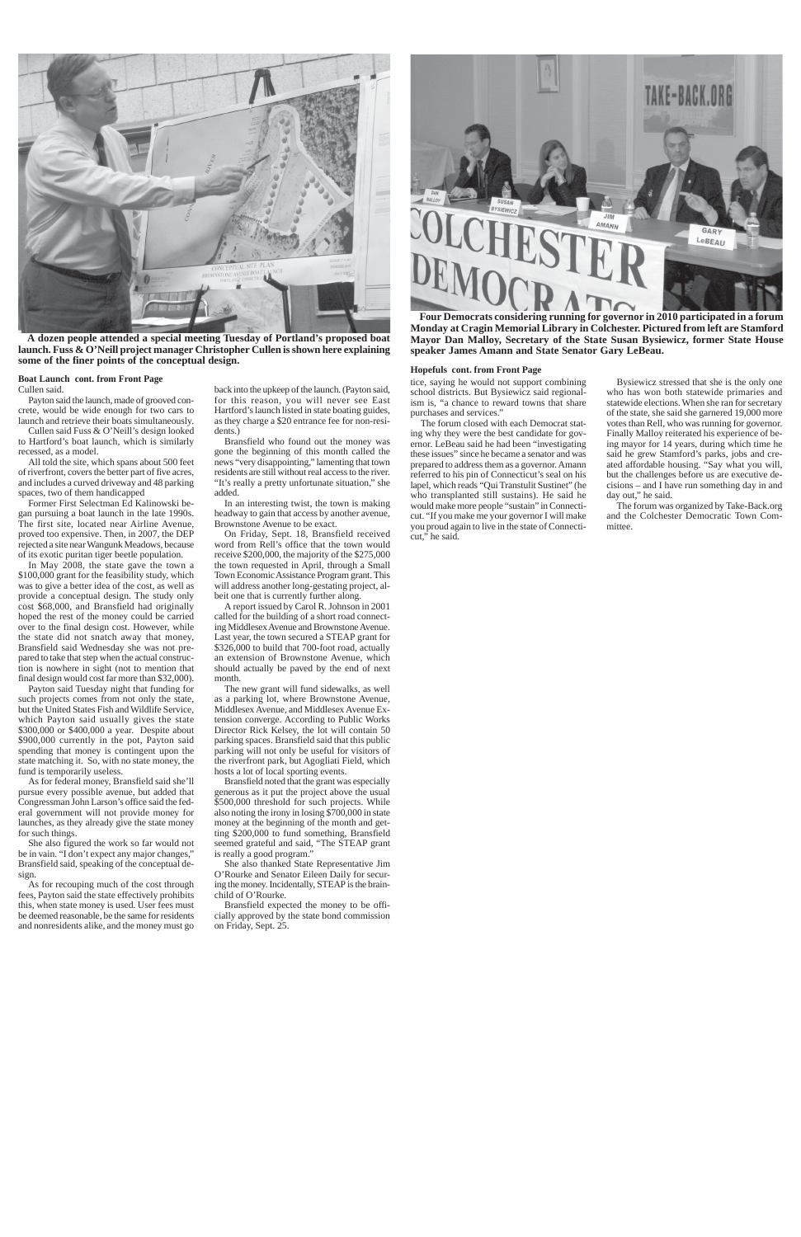## **Boat Launch cont. from Front Page**



**A dozen people attended a special meeting Tuesday of Portland's proposed boat launch. Fuss & O'Neill project manager Christopher Cullen is shown here explaining some of the finer points of the conceptual design.**

Cullen said.

Payton said the launch, made of grooved concrete, would be wide enough for two cars to launch and retrieve their boats simultaneously.

Cullen said Fuss & O'Neill's design looked to Hartford's boat launch, which is similarly recessed, as a model.

All told the site, which spans about 500 feet of riverfront, covers the better part of five acres, and includes a curved driveway and 48 parking spaces, two of them handicapped

Former First Selectman Ed Kalinowski began pursuing a boat launch in the late 1990s. The first site, located near Airline Avenue, proved too expensive. Then, in 2007, the DEP rejected a site near Wangunk Meadows, because of its exotic puritan tiger beetle population.

In May 2008, the state gave the town a \$100,000 grant for the feasibility study, which was to give a better idea of the cost, as well as provide a conceptual design. The study only cost \$68,000, and Bransfield had originally hoped the rest of the money could be carried over to the final design cost. However, while the state did not snatch away that money, Bransfield said Wednesday she was not prepared to take that step when the actual construction is nowhere in sight (not to mention that final design would cost far more than \$32,000).

Payton said Tuesday night that funding for such projects comes from not only the state, but the United States Fish and Wildlife Service, which Payton said usually gives the state \$300,000 or \$400,000 a year. Despite about \$900,000 currently in the pot, Payton said spending that money is contingent upon the state matching it. So, with no state money, the fund is temporarily useless.

As for federal money, Bransfield said she'll pursue every possible avenue, but added that Congressman John Larson's office said the federal government will not provide money for launches, as they already give the state money for such things.

Bransfield noted that the grant was especially generous as it put the project above the usual \$500,000 threshold for such projects. While also noting the irony in losing \$700,000 in state money at the beginning of the month and getting \$200,000 to fund something, Bransfield seemed grateful and said, "The STEAP grant is really a good program."

She also figured the work so far would not be in vain. "I don't expect any major changes," Bransfield said, speaking of the conceptual design.

As for recouping much of the cost through fees, Payton said the state effectively prohibits this, when state money is used. User fees must be deemed reasonable, be the same for residents and nonresidents alike, and the money must go back into the upkeep of the launch. (Payton said, for this reason, you will never see East Hartford's launch listed in state boating guides, as they charge a \$20 entrance fee for non-residents.)

Bransfield who found out the money was gone the beginning of this month called the news "very disappointing," lamenting that town residents are still without real access to the river. "It's really a pretty unfortunate situation," she added.

In an interesting twist, the town is making headway to gain that access by another avenue, Brownstone Avenue to be exact.

On Friday, Sept. 18, Bransfield received word from Rell's office that the town would receive \$200,000, the majority of the \$275,000 the town requested in April, through a Small Town Economic Assistance Program grant. This will address another long-gestating project, albeit one that is currently further along.

A report issued by Carol R. Johnson in 2001 called for the building of a short road connecting Middlesex Avenue and Brownstone Avenue. Last year, the town secured a STEAP grant for \$326,000 to build that 700-foot road, actually an extension of Brownstone Avenue, which should actually be paved by the end of next month.

The new grant will fund sidewalks, as well as a parking lot, where Brownstone Avenue, Middlesex Avenue, and Middlesex Avenue Extension converge. According to Public Works Director Rick Kelsey, the lot will contain 50 parking spaces. Bransfield said that this public parking will not only be useful for visitors of the riverfront park, but Agogliati Field, which hosts a lot of local sporting events.

She also thanked State Representative Jim O'Rourke and Senator Eileen Daily for securing the money. Incidentally, STEAP is the brainchild of O'Rourke.

Bransfield expected the money to be offi-

cially approved by the state bond commission on Friday, Sept. 25.



**Four Democrats considering running for governor in 2010 participated in a forum Monday at Cragin Memorial Library in Colchester. Pictured from left are Stamford Mayor Dan Malloy, Secretary of the State Susan Bysiewicz, former State House speaker James Amann and State Senator Gary LeBeau.**

tice, saying he would not support combining school districts. But Bysiewicz said regionalism is, "a chance to reward towns that share purchases and services."

The forum closed with each Democrat stating why they were the best candidate for governor. LeBeau said he had been "investigating these issues" since he became a senator and was prepared to address them as a governor. Amann referred to his pin of Connecticut's seal on his lapel, which reads "Qui Transtulit Sustinet" (he who transplanted still sustains). He said he would make more people "sustain" in Connecticut. "If you make me your governor I will make you proud again to live in the state of Connecticut," he said.

### **Hopefuls cont. from Front Page**

Bysiewicz stressed that she is the only one who has won both statewide primaries and statewide elections. When she ran for secretary of the state, she said she garnered 19,000 more votes than Rell, who was running for governor. Finally Malloy reiterated his experience of being mayor for 14 years, during which time he said he grew Stamford's parks, jobs and created affordable housing. "Say what you will, but the challenges before us are executive decisions – and I have run something day in and day out," he said.

The forum was organized by Take-Back.org and the Colchester Democratic Town Committee.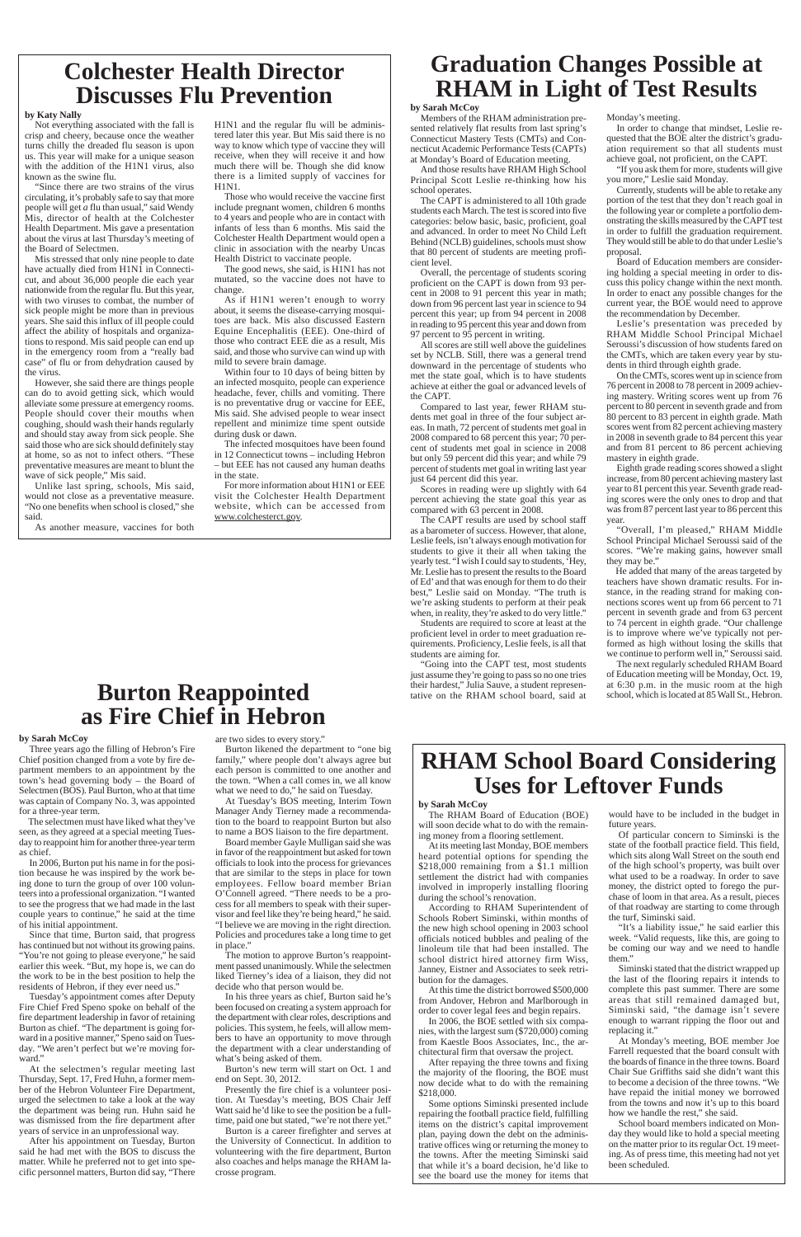## **Graduation Changes Possible at RHAM in Light of Test Results**

## **by Sarah McCoy**

Members of the RHAM administration presented relatively flat results from last spring's Connecticut Mastery Tests (CMTs) and Connecticut Academic Performance Tests (CAPTs) at Monday's Board of Education meeting.

And those results have RHAM High School Principal Scott Leslie re-thinking how his school operates.

The CAPT is administered to all 10th grade students each March. The test is scored into five categories: below basic, basic, proficient, goal and advanced. In order to meet No Child Left Behind (NCLB) guidelines, schools must show that 80 percent of students are meeting proficient level.

Overall, the percentage of students scoring proficient on the CAPT is down from 93 percent in 2008 to 91 percent this year in math; down from 96 percent last year in science to 94 percent this year; up from 94 percent in 2008 in reading to 95 percent this year and down from 97 percent to 95 percent in writing.

All scores are still well above the guidelines set by NCLB. Still, there was a general trend downward in the percentage of students who met the state goal, which is to have students achieve at either the goal or advanced levels of the CAPT.

Compared to last year, fewer RHAM students met goal in three of the four subject areas. In math, 72 percent of students met goal in 2008 compared to 68 percent this year; 70 percent of students met goal in science in 2008 but only 59 percent did this year; and while 79 percent of students met goal in writing last year just 64 percent did this year.

Scores in reading were up slightly with 64 percent achieving the state goal this year as compared with 63 percent in 2008.

The CAPT results are used by school staff as a barometer of success. However, that alone, Leslie feels, isn't always enough motivation for students to give it their all when taking the yearly test. "I wish I could say to students, 'Hey, Mr. Leslie has to present the results to the Board of Ed' and that was enough for them to do their best," Leslie said on Monday. "The truth is we're asking students to perform at their peak when, in reality, they're asked to do very little."

Students are required to score at least at the proficient level in order to meet graduation requirements. Proficiency, Leslie feels, is all that students are aiming for.

"Going into the CAPT test, most students just assume they're going to pass so no one tries their hardest," Julia Sauve, a student representative on the RHAM school board, said at Monday's meeting.

In order to change that mindset, Leslie requested that the BOE alter the district's graduation requirement so that all students must achieve goal, not proficient, on the CAPT.

"If you ask them for more, students will give you more," Leslie said Monday.

Currently, students will be able to retake any portion of the test that they don't reach goal in the following year or complete a portfolio demonstrating the skills measured by the CAPT test in order to fulfill the graduation requirement. They would still be able to do that under Leslie's proposal.

Board of Education members are considering holding a special meeting in order to discuss this policy change within the next month. In order to enact any possible changes for the current year, the BOE would need to approve the recommendation by December.

Leslie's presentation was preceded by RHAM Middle School Principal Michael Seroussi's discussion of how students fared on the CMTs, which are taken every year by students in third through eighth grade.

On the CMTs, scores went up in science from 76 percent in 2008 to 78 percent in 2009 achieving mastery. Writing scores went up from 76 percent to 80 percent in seventh grade and from 80 percent to 83 percent in eighth grade. Math scores went from 82 percent achieving mastery in 2008 in seventh grade to 84 percent this year and from 81 percent to 86 percent achieving mastery in eighth grade.

Eighth grade reading scores showed a slight increase, from 80 percent achieving mastery last year to 81 percent this year. Seventh grade reading scores were the only ones to drop and that was from 87 percent last year to 86 percent this year.

"Overall, I'm pleased," RHAM Middle School Principal Michael Seroussi said of the scores. "We're making gains, however small they may be."

He added that many of the areas targeted by teachers have shown dramatic results. For instance, in the reading strand for making connections scores went up from 66 percent to 71 percent in seventh grade and from 63 percent to 74 percent in eighth grade. "Our challenge is to improve where we've typically not performed as high without losing the skills that we continue to perform well in," Seroussi said.

The next regularly scheduled RHAM Board of Education meeting will be Monday, Oct. 19, at 6:30 p.m. in the music room at the high school, which is located at 85 Wall St., Hebron.

## **Colchester Health Director Discusses Flu Prevention**

### **by Katy Nally**

Not everything associated with the fall is crisp and cheery, because once the weather turns chilly the dreaded flu season is upon us. This year will make for a unique season with the addition of the H1N1 virus, also known as the swine flu.

"Since there are two strains of the virus circulating, it's probably safe to say that more people will get *a* flu than usual," said Wendy Mis, director of health at the Colchester Health Department. Mis gave a presentation about the virus at last Thursday's meeting of the Board of Selectmen.

Mis stressed that only nine people to date have actually died from H1N1 in Connecticut, and about 36,000 people die each year nationwide from the regular flu. But this year, with two viruses to combat, the number of sick people might be more than in previous years. She said this influx of ill people could affect the ability of hospitals and organizations to respond. Mis said people can end up in the emergency room from a "really bad case" of flu or from dehydration caused by the virus.

However, she said there are things people can do to avoid getting sick, which would alleviate some pressure at emergency rooms. People should cover their mouths when coughing, should wash their hands regularly and should stay away from sick people. She said those who are sick should definitely stay at home, so as not to infect others. "These preventative measures are meant to blunt the wave of sick people," Mis said.

Unlike last spring, schools, Mis said, would not close as a preventative measure. "No one benefits when school is closed," she said.

As another measure, vaccines for both

H1N1 and the regular flu will be administered later this year. But Mis said there is no way to know which type of vaccine they will receive, when they will receive it and how much there will be. Though she did know there is a limited supply of vaccines for H1N1.

Those who would receive the vaccine first include pregnant women, children 6 months to 4 years and people who are in contact with infants of less than 6 months. Mis said the Colchester Health Department would open a clinic in association with the nearby Uncas Health District to vaccinate people.

The good news, she said, is H1N1 has not mutated, so the vaccine does not have to change.

As if H1N1 weren't enough to worry about, it seems the disease-carrying mosquitoes are back. Mis also discussed Eastern Equine Encephalitis (EEE). One-third of those who contract EEE die as a result, Mis said, and those who survive can wind up with mild to severe brain damage.

Within four to 10 days of being bitten by an infected mosquito, people can experience headache, fever, chills and vomiting. There is no preventative drug or vaccine for EEE, Mis said. She advised people to wear insect repellent and minimize time spent outside during dusk or dawn.

The infected mosquitoes have been found in 12 Connecticut towns – including Hebron – but EEE has not caused any human deaths in the state.

For more information about H1N1 or EEE visit the Colchester Health Department website, which can be accessed from www.colchesterct.gov.

## **RHAM School Board Considering Uses for Leftover Funds**

## **by Sarah McCoy**

The RHAM Board of Education (BOE) will soon decide what to do with the remaining money from a flooring settlement.

At its meeting last Monday, BOE members heard potential options for spending the \$218,000 remaining from a \$1.1 million settlement the district had with companies involved in improperly installing flooring during the school's renovation.

According to RHAM Superintendent of

Schools Robert Siminski, within months of the new high school opening in 2003 school officials noticed bubbles and pealing of the linoleum tile that had been installed. The school district hired attorney firm Wiss, Janney, Eistner and Associates to seek retribution for the damages.

At this time the district borrowed \$500,000 from Andover, Hebron and Marlborough in order to cover legal fees and begin repairs.

In 2006, the BOE settled with six companies, with the largest sum (\$720,000) coming from Kaestle Boos Associates, Inc., the architectural firm that oversaw the project.

After repaying the three towns and fixing the majority of the flooring, the BOE must now decide what to do with the remaining \$218,000.

Some options Siminski presented include repairing the football practice field, fulfilling items on the district's capital improvement plan, paying down the debt on the administrative offices wing or returning the money to the towns. After the meeting Siminski said that while it's a board decision, he'd like to see the board use the money for items that

would have to be included in the budget in future years.

Of particular concern to Siminski is the state of the football practice field. This field, which sits along Wall Street on the south end of the high school's property, was built over what used to be a roadway. In order to save money, the district opted to forego the purchase of loom in that area. As a result, pieces of that roadway are starting to come through the turf, Siminski said.

"It's a liability issue," he said earlier this week. "Valid requests, like this, are going to be coming our way and we need to handle them."

Siminski stated that the district wrapped up the last of the flooring repairs it intends to complete this past summer. There are some areas that still remained damaged but, Siminski said, "the damage isn't severe enough to warrant ripping the floor out and replacing it."

At Monday's meeting, BOE member Joe Farrell requested that the board consult with the boards of finance in the three towns. Board Chair Sue Griffiths said she didn't want this to become a decision of the three towns. "We have repaid the initial money we borrowed from the towns and now it's up to this board how we handle the rest," she said.

School board members indicated on Monday they would like to hold a special meeting on the matter prior to its regular Oct. 19 meeting. As of press time, this meeting had not yet been scheduled.

## **Burton Reappointed as Fire Chief in Hebron**

## **by Sarah McCoy**

Three years ago the filling of Hebron's Fire Chief position changed from a vote by fire department members to an appointment by the town's head governing body – the Board of Selectmen (BOS). Paul Burton, who at that time was captain of Company No. 3, was appointed for a three-year term.

The selectmen must have liked what they've seen, as they agreed at a special meeting Tuesday to reappoint him for another three-year term as chief.

In 2006, Burton put his name in for the position because he was inspired by the work being done to turn the group of over 100 volunteers into a professional organization. "I wanted to see the progress that we had made in the last couple years to continue," he said at the time of his initial appointment. Since that time, Burton said, that progress has continued but not without its growing pains. "You're not going to please everyone," he said earlier this week. "But, my hope is, we can do the work to be in the best position to help the residents of Hebron, if they ever need us." Tuesday's appointment comes after Deputy Fire Chief Fred Speno spoke on behalf of the fire department leadership in favor of retaining Burton as chief. "The department is going forward in a positive manner," Speno said on Tuesday. "We aren't perfect but we're moving forward." At the selectmen's regular meeting last Thursday, Sept. 17, Fred Huhn, a former member of the Hebron Volunteer Fire Department, urged the selectmen to take a look at the way the department was being run. Huhn said he was dismissed from the fire department after years of service in an unprofessional way. After his appointment on Tuesday, Burton said he had met with the BOS to discuss the matter. While he preferred not to get into specific personnel matters, Burton did say, "There

### are two sides to every story."

Burton likened the department to "one big family," where people don't always agree but each person is committed to one another and the town. "When a call comes in, we all know what we need to do," he said on Tuesday.

At Tuesday's BOS meeting, Interim Town Manager Andy Tierney made a recommendation to the board to reappoint Burton but also to name a BOS liaison to the fire department.

Board member Gayle Mulligan said she was in favor of the reappointment but asked for town officials to look into the process for grievances that are similar to the steps in place for town employees. Fellow board member Brian O'Connell agreed. "There needs to be a process for all members to speak with their supervisor and feel like they're being heard," he said. "I believe we are moving in the right direction. Policies and procedures take a long time to get in place."

The motion to approve Burton's reappointment passed unanimously. While the selectmen liked Tierney's idea of a liaison, they did not decide who that person would be.

In his three years as chief, Burton said he's been focused on creating a system approach for the department with clear roles, descriptions and policies. This system, he feels, will allow members to have an opportunity to move through the department with a clear understanding of what's being asked of them.

Burton's new term will start on Oct. 1 and end on Sept. 30, 2012.

Presently the fire chief is a volunteer position. At Tuesday's meeting, BOS Chair Jeff Watt said he'd like to see the position be a fulltime, paid one but stated, "we're not there yet."

Burton is a career firefighter and serves at the University of Connecticut. In addition to volunteering with the fire department, Burton also coaches and helps manage the RHAM lacrosse program.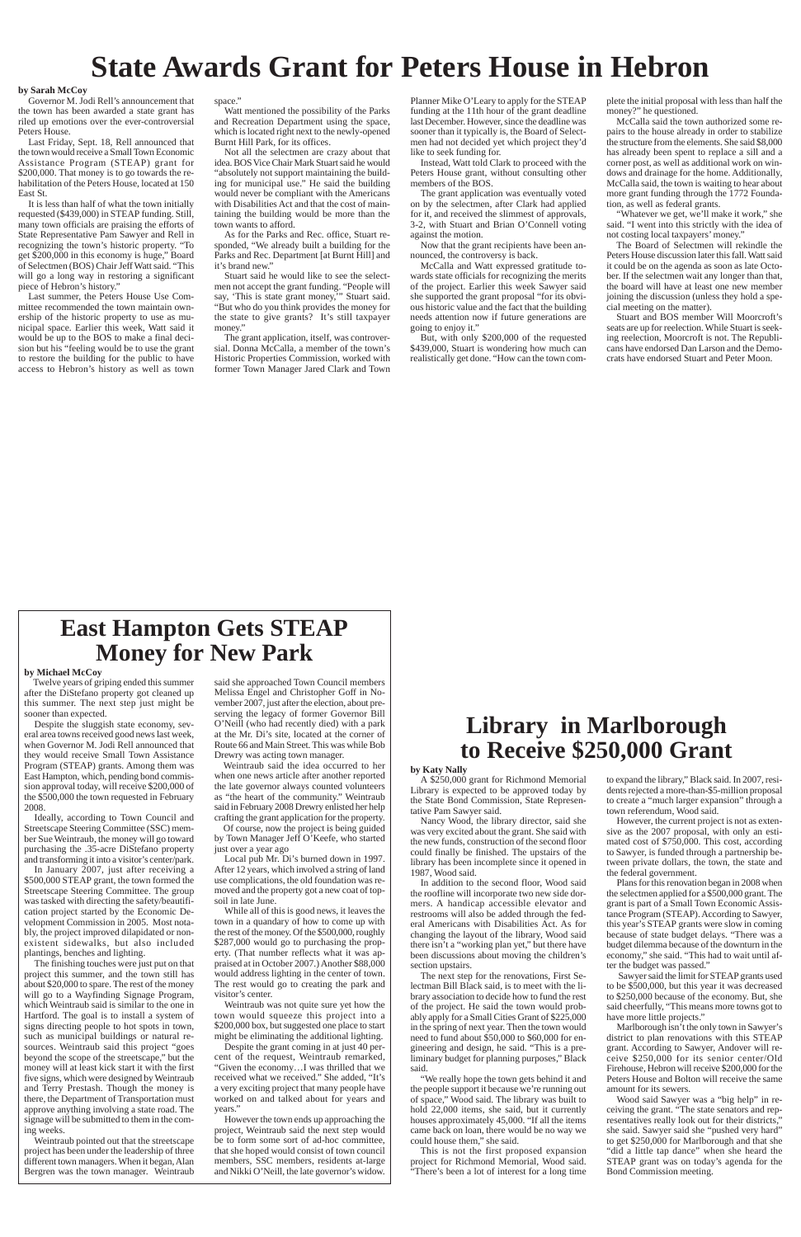## **State Awards Grant for Peters House in Hebron**

### **by Sarah McCoy**

Governor M. Jodi Rell's announcement that the town has been awarded a state grant has riled up emotions over the ever-controversial Peters House.

Last Friday, Sept. 18, Rell announced that the town would receive a Small Town Economic Assistance Program (STEAP) grant for \$200,000. That money is to go towards the rehabilitation of the Peters House, located at 150 East St.

It is less than half of what the town initially requested (\$439,000) in STEAP funding. Still, many town officials are praising the efforts of State Representative Pam Sawyer and Rell in recognizing the town's historic property. "To get \$200,000 in this economy is huge," Board of Selectmen (BOS) Chair Jeff Watt said. "This will go a long way in restoring a significant piece of Hebron's history."

Last summer, the Peters House Use Committee recommended the town maintain ownership of the historic property to use as municipal space. Earlier this week, Watt said it would be up to the BOS to make a final decision but his "feeling would be to use the grant to restore the building for the public to have access to Hebron's history as well as town

space."

Watt mentioned the possibility of the Parks and Recreation Department using the space, which is located right next to the newly-opened Burnt Hill Park, for its offices.

Not all the selectmen are crazy about that idea. BOS Vice Chair Mark Stuart said he would "absolutely not support maintaining the building for municipal use." He said the building would never be compliant with the Americans with Disabilities Act and that the cost of maintaining the building would be more than the town wants to afford.

As for the Parks and Rec. office, Stuart responded, "We already built a building for the Parks and Rec. Department [at Burnt Hill] and it's brand new."

Stuart said he would like to see the selectmen not accept the grant funding. "People will say, 'This is state grant money,'" Stuart said. "But who do you think provides the money for the state to give grants? It's still taxpayer money."

The grant application, itself, was controversial. Donna McCalla, a member of the town's Historic Properties Commission, worked with former Town Manager Jared Clark and Town Planner Mike O'Leary to apply for the STEAP funding at the 11th hour of the grant deadline last December. However, since the deadline was sooner than it typically is, the Board of Selectmen had not decided yet which project they'd like to seek funding for.

Instead, Watt told Clark to proceed with the Peters House grant, without consulting other members of the BOS.

The grant application was eventually voted on by the selectmen, after Clark had applied for it, and received the slimmest of approvals, 3-2, with Stuart and Brian O'Connell voting against the motion.

Now that the grant recipients have been announced, the controversy is back.

McCalla and Watt expressed gratitude towards state officials for recognizing the merits of the project. Earlier this week Sawyer said she supported the grant proposal "for its obvious historic value and the fact that the building needs attention now if future generations are going to enjoy it."

But, with only \$200,000 of the requested \$439,000, Stuart is wondering how much can realistically get done. "How can the town complete the initial proposal with less than half the money?" he questioned.

McCalla said the town authorized some repairs to the house already in order to stabilize the structure from the elements. She said \$8,000 has already been spent to replace a sill and a corner post, as well as additional work on windows and drainage for the home. Additionally, McCalla said, the town is waiting to hear about more grant funding through the 1772 Foundation, as well as federal grants.

"Whatever we get, we'll make it work," she said. "I went into this strictly with the idea of not costing local taxpayers' money."

The Board of Selectmen will rekindle the Peters House discussion later this fall. Watt said it could be on the agenda as soon as late October. If the selectmen wait any longer than that, the board will have at least one new member joining the discussion (unless they hold a special meeting on the matter).

Stuart and BOS member Will Moorcroft's seats are up for reelection. While Stuart is seeking reelection, Moorcroft is not. The Republicans have endorsed Dan Larson and the Democrats have endorsed Stuart and Peter Moon.

## **Library in Marlborough to Receive \$250,000 Grant**

### **by Katy Nally**

A \$250,000 grant for Richmond Memorial Library is expected to be approved today by the State Bond Commission, State Representative Pam Sawyer said.

Nancy Wood, the library director, said she was very excited about the grant. She said with the new funds, construction of the second floor could finally be finished. The upstairs of the library has been incomplete since it opened in 1987, Wood said.

In addition to the second floor, Wood said the roofline will incorporate two new side dormers. A handicap accessible elevator and restrooms will also be added through the federal Americans with Disabilities Act. As for changing the layout of the library, Wood said there isn't a "working plan yet," but there have been discussions about moving the children's section upstairs. The next step for the renovations, First Selectman Bill Black said, is to meet with the library association to decide how to fund the rest of the project. He said the town would probably apply for a Small Cities Grant of \$225,000 in the spring of next year. Then the town would need to fund about \$50,000 to \$60,000 for engineering and design, he said. "This is a preliminary budget for planning purposes," Black said. "We really hope the town gets behind it and the people support it because we're running out of space," Wood said. The library was built to hold 22,000 items, she said, but it currently houses approximately 45,000. "If all the items came back on loan, there would be no way we could house them," she said.

This is not the first proposed expansion project for Richmond Memorial, Wood said. "There's been a lot of interest for a long time to expand the library," Black said. In 2007, residents rejected a more-than-\$5-million proposal to create a "much larger expansion" through a town referendum, Wood said.

However, the current project is not as extensive as the 2007 proposal, with only an estimated cost of \$750,000. This cost, according to Sawyer, is funded through a partnership between private dollars, the town, the state and the federal government.

Plans for this renovation began in 2008 when the selectmen applied for a \$500,000 grant. The grant is part of a Small Town Economic Assistance Program (STEAP). According to Sawyer, this year's STEAP grants were slow in coming because of state budget delays. "There was a budget dilemma because of the downturn in the economy," she said. "This had to wait until after the budget was passed." Sawyer said the limit for STEAP grants used to be \$500,000, but this year it was decreased to \$250,000 because of the economy. But, she said cheerfully, "This means more towns got to have more little projects." Marlborough isn't the only town in Sawyer's district to plan renovations with this STEAP grant. According to Sawyer, Andover will receive \$250,000 for its senior center/Old Firehouse, Hebron will receive \$200,000 for the Peters House and Bolton will receive the same amount for its sewers. Wood said Sawyer was a "big help" in receiving the grant. "The state senators and representatives really look out for their districts," she said. Sawyer said she "pushed very hard" to get \$250,000 for Marlborough and that she "did a little tap dance" when she heard the STEAP grant was on today's agenda for the Bond Commission meeting.

## **East Hampton Gets STEAP Money for New Park**

### **by Michael McCoy**

Twelve years of griping ended this summer after the DiStefano property got cleaned up this summer. The next step just might be sooner than expected.

Despite the sluggish state economy, several area towns received good news last week, when Governor M. Jodi Rell announced that they would receive Small Town Assistance Program (STEAP) grants. Among them was East Hampton, which, pending bond commission approval today, will receive \$200,000 of the \$500,000 the town requested in February 2008.

Ideally, according to Town Council and Streetscape Steering Committee (SSC) member Sue Weintraub, the money will go toward purchasing the .35-acre DiStefano property and transforming it into a visitor's center/park.

In January 2007, just after receiving a \$500,000 STEAP grant, the town formed the Streetscape Steering Committee. The group was tasked with directing the safety/beautification project started by the Economic Development Commission in 2005. Most notably, the project improved dilapidated or nonexistent sidewalks, but also included plantings, benches and lighting. The finishing touches were just put on that project this summer, and the town still has about \$20,000 to spare. The rest of the money will go to a Wayfinding Signage Program, which Weintraub said is similar to the one in Hartford. The goal is to install a system of signs directing people to hot spots in town, such as municipal buildings or natural resources. Weintraub said this project "goes beyond the scope of the streetscape," but the money will at least kick start it with the first five signs, which were designed by Weintraub and Terry Prestash. Though the money is there, the Department of Transportation must approve anything involving a state road. The signage will be submitted to them in the coming weeks. Weintraub pointed out that the streetscape project has been under the leadership of three different town managers. When it began, Alan Bergren was the town manager. Weintraub

said she approached Town Council members Melissa Engel and Christopher Goff in November 2007, just after the election, about preserving the legacy of former Governor Bill O'Neill (who had recently died) with a park at the Mr. Di's site, located at the corner of Route 66 and Main Street. This was while Bob Drewry was acting town manager.

Weintraub said the idea occurred to her when one news article after another reported the late governor always counted volunteers as "the heart of the community." Weintraub said in February 2008 Drewry enlisted her help crafting the grant application for the property.

Of course, now the project is being guided by Town Manager Jeff O'Keefe, who started just over a year ago

Local pub Mr. Di's burned down in 1997. After 12 years, which involved a string of land use complications, the old foundation was removed and the property got a new coat of topsoil in late June.

While all of this is good news, it leaves the town in a quandary of how to come up with the rest of the money. Of the \$500,000, roughly \$287,000 would go to purchasing the property. (That number reflects what it was appraised at in October 2007.) Another \$88,000 would address lighting in the center of town. The rest would go to creating the park and visitor's center.

Weintraub was not quite sure yet how the town would squeeze this project into a \$200,000 box, but suggested one place to start might be eliminating the additional lighting.

Despite the grant coming in at just 40 percent of the request, Weintraub remarked, "Given the economy…I was thrilled that we received what we received." She added, "It's a very exciting project that many people have worked on and talked about for years and years."

However the town ends up approaching the project, Weintraub said the next step would be to form some sort of ad-hoc committee, that she hoped would consist of town council members, SSC members, residents at-large and Nikki O'Neill, the late governor's widow.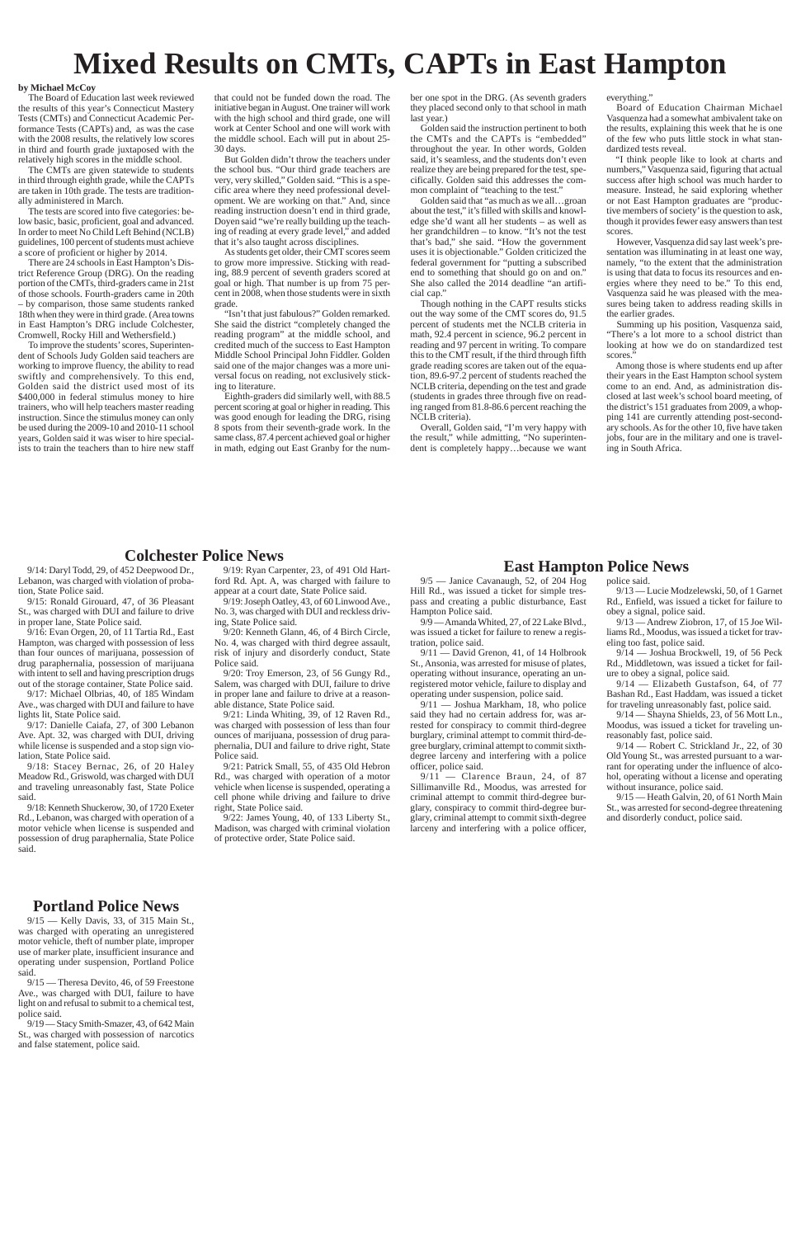# **Mixed Results on CMTs, CAPTs in East Hampton**

### **by Michael McCoy**

The Board of Education last week reviewed the results of this year's Connecticut Mastery Tests (CMTs) and Connecticut Academic Performance Tests (CAPTs) and, as was the case with the 2008 results, the relatively low scores in third and fourth grade juxtaposed with the relatively high scores in the middle school.

The CMTs are given statewide to students in third through eighth grade, while the CAPTs are taken in 10th grade. The tests are traditionally administered in March.

The tests are scored into five categories: below basic, basic, proficient, goal and advanced. In order to meet No Child Left Behind (NCLB) guidelines, 100 percent of students must achieve a score of proficient or higher by 2014.

There are 24 schools in East Hampton's District Reference Group (DRG). On the reading portion of the CMTs, third-graders came in 21st of those schools. Fourth-graders came in 20th – by comparison, those same students ranked 18th when they were in third grade. (Area towns in East Hampton's DRG include Colchester, Cromwell, Rocky Hill and Wethersfield.)

To improve the students' scores, Superintendent of Schools Judy Golden said teachers are working to improve fluency, the ability to read swiftly and comprehensively. To this end, Golden said the district used most of its \$400,000 in federal stimulus money to hire trainers, who will help teachers master reading instruction. Since the stimulus money can only be used during the 2009-10 and 2010-11 school years, Golden said it was wiser to hire specialists to train the teachers than to hire new staff that could not be funded down the road. The initiative began in August. One trainer will work with the high school and third grade, one will work at Center School and one will work with the middle school. Each will put in about 25- 30 days.

But Golden didn't throw the teachers under the school bus. "Our third grade teachers are very, very skilled," Golden said. "This is a specific area where they need professional development. We are working on that." And, since reading instruction doesn't end in third grade, Doyen said "we're really building up the teaching of reading at every grade level," and added that it's also taught across disciplines.

As students get older, their CMT scores seem to grow more impressive. Sticking with reading, 88.9 percent of seventh graders scored at goal or high. That number is up from 75 percent in 2008, when those students were in sixth grade.

"Isn't that just fabulous?" Golden remarked. She said the district "completely changed the reading program" at the middle school, and credited much of the success to East Hampton Middle School Principal John Fiddler. Golden said one of the major changes was a more universal focus on reading, not exclusively sticking to literature.

Summing up his position, Vasquenza said, "There's a lot more to a school district than looking at how we do on standardized test scores.

Eighth-graders did similarly well, with 88.5 percent scoring at goal or higher in reading. This was good enough for leading the DRG, rising 8 spots from their seventh-grade work. In the same class, 87.4 percent achieved goal or higher in math, edging out East Granby for the number one spot in the DRG. (As seventh graders they placed second only to that school in math last year.)

Golden said the instruction pertinent to both the CMTs and the CAPTs is "embedded" throughout the year. In other words, Golden said, it's seamless, and the students don't even realize they are being prepared for the test, specifically. Golden said this addresses the common complaint of "teaching to the test."

Golden said that "as much as we all…groan about the test," it's filled with skills and knowledge she'd want all her students – as well as her grandchildren – to know. "It's not the test that's bad," she said. "How the government uses it is objectionable." Golden criticized the federal government for "putting a subscribed end to something that should go on and on." She also called the 2014 deadline "an artificial cap."

Though nothing in the CAPT results sticks out the way some of the CMT scores do, 91.5 percent of students met the NCLB criteria in math, 92.4 percent in science, 96.2 percent in reading and 97 percent in writing. To compare this to the CMT result, if the third through fifth grade reading scores are taken out of the equation, 89.6-97.2 percent of students reached the NCLB criteria, depending on the test and grade (students in grades three through five on reading ranged from 81.8-86.6 percent reaching the NCLB criteria).

Overall, Golden said, "I'm very happy with the result," while admitting, "No superintendent is completely happy…because we want everything."

Board of Education Chairman Michael Vasquenza had a somewhat ambivalent take on the results, explaining this week that he is one of the few who puts little stock in what standardized tests reveal.

"I think people like to look at charts and numbers," Vasquenza said, figuring that actual success after high school was much harder to measure. Instead, he said exploring whether or not East Hampton graduates are "productive members of society' is the question to ask, though it provides fewer easy answers than test scores.

However, Vasquenza did say last week's presentation was illuminating in at least one way, namely, "to the extent that the administration is using that data to focus its resources and energies where they need to be." To this end, Vasquenza said he was pleased with the measures being taken to address reading skills in the earlier grades.

Among those is where students end up after their years in the East Hampton school system come to an end. And, as administration disclosed at last week's school board meeting, of the district's 151 graduates from 2009, a whopping 141 are currently attending post-secondary schools. As for the other 10, five have taken jobs, four are in the military and one is traveling in South Africa.

## **Colchester Police News**

9/14: Daryl Todd, 29, of 452 Deepwood Dr., Lebanon, was charged with violation of probation, State Police said.

9/15: Ronald Girouard, 47, of 36 Pleasant St., was charged with DUI and failure to drive in proper lane, State Police said.

9/16: Evan Orgen, 20, of 11 Tartia Rd., East Hampton, was charged with possession of less than four ounces of marijuana, possession of drug paraphernalia, possession of marijuana with intent to sell and having prescription drugs out of the storage container, State Police said.

9/17: Michael Olbrias, 40, of 185 Windam Ave., was charged with DUI and failure to have lights lit, State Police said.

9/17: Danielle Caiafa, 27, of 300 Lebanon Ave. Apt. 32, was charged with DUI, driving while license is suspended and a stop sign violation, State Police said.

9/18: Stacey Bernac, 26, of 20 Haley Meadow Rd., Griswold, was charged with DUI and traveling unreasonably fast, State Police said.

9/18: Kenneth Shuckerow, 30, of 1720 Exeter Rd., Lebanon, was charged with operation of a motor vehicle when license is suspended and possession of drug paraphernalia, State Police said.

9/19: Ryan Carpenter, 23, of 491 Old Hartford Rd. Apt. A, was charged with failure to appear at a court date, State Police said.

9/19: Joseph Oatley, 43, of 60 Linwood Ave., No. 3, was charged with DUI and reckless driving, State Police said.

9/20: Kenneth Glann, 46, of 4 Birch Circle, No. 4, was charged with third degree assault, risk of injury and disorderly conduct, State Police said.

9/20: Troy Emerson, 23, of 56 Gungy Rd., Salem, was charged with DUI, failure to drive in proper lane and failure to drive at a reasonable distance, State Police said.

9/21: Linda Whiting, 39, of 12 Raven Rd., was charged with possession of less than four ounces of marijuana, possession of drug paraphernalia, DUI and failure to drive right, State Police said.

9/21: Patrick Small, 55, of 435 Old Hebron Rd., was charged with operation of a motor vehicle when license is suspended, operating a cell phone while driving and failure to drive right, State Police said.

9/22: James Young, 40, of 133 Liberty St., Madison, was charged with criminal violation of protective order, State Police said.

9/15 — Kelly Davis, 33, of 315 Main St., was charged with operating an unregistered motor vehicle, theft of number plate, improper use of marker plate, insufficient insurance and operating under suspension, Portland Police said.

9/15 — Theresa Devito, 46, of 59 Freestone Ave., was charged with DUI, failure to have light on and refusal to submit to a chemical test, police said.

9/19 — Stacy Smith-Smazer, 43, of 642 Main St., was charged with possession of narcotics and false statement, police said.

## **East Hampton Police News**

9/5 — Janice Cavanaugh, 52, of 204 Hog Hill Rd., was issued a ticket for simple trespass and creating a public disturbance, East Hampton Police said.

9/9 — Amanda Whited, 27, of 22 Lake Blvd., was issued a ticket for failure to renew a registration, police said.

9/11 — David Grenon, 41, of 14 Holbrook St., Ansonia, was arrested for misuse of plates, operating without insurance, operating an unregistered motor vehicle, failure to display and operating under suspension, police said.

9/11 — Joshua Markham, 18, who police said they had no certain address for, was arrested for conspiracy to commit third-degree burglary, criminal attempt to commit third-degree burglary, criminal attempt to commit sixthdegree larceny and interfering with a police officer, police said.

9/11 — Clarence Braun, 24, of 87 Sillimanville Rd., Moodus, was arrested for criminal attempt to commit third-degree burglary, conspiracy to commit third-degree burglary, criminal attempt to commit sixth-degree larceny and interfering with a police officer, police said.

9/13 — Lucie Modzelewski, 50, of 1 Garnet Rd., Enfield, was issued a ticket for failure to obey a signal, police said.

9/13 — Andrew Ziobron, 17, of 15 Joe Williams Rd., Moodus, was issued a ticket for traveling too fast, police said.

9/14 — Joshua Brockwell, 19, of 56 Peck Rd., Middletown, was issued a ticket for failure to obey a signal, police said.

9/14 — Elizabeth Gustafson, 64, of 77 Bashan Rd., East Haddam, was issued a ticket for traveling unreasonably fast, police said.

9/14 — Shayna Shields, 23, of 56 Mott Ln., Moodus, was issued a ticket for traveling unreasonably fast, police said.

9/14 — Robert C. Strickland Jr., 22, of 30 Old Young St., was arrested pursuant to a warrant for operating under the influence of alcohol, operating without a license and operating without insurance, police said.

9/15 — Heath Galvin, 20, of 61 North Main St., was arrested for second-degree threatening and disorderly conduct, police said.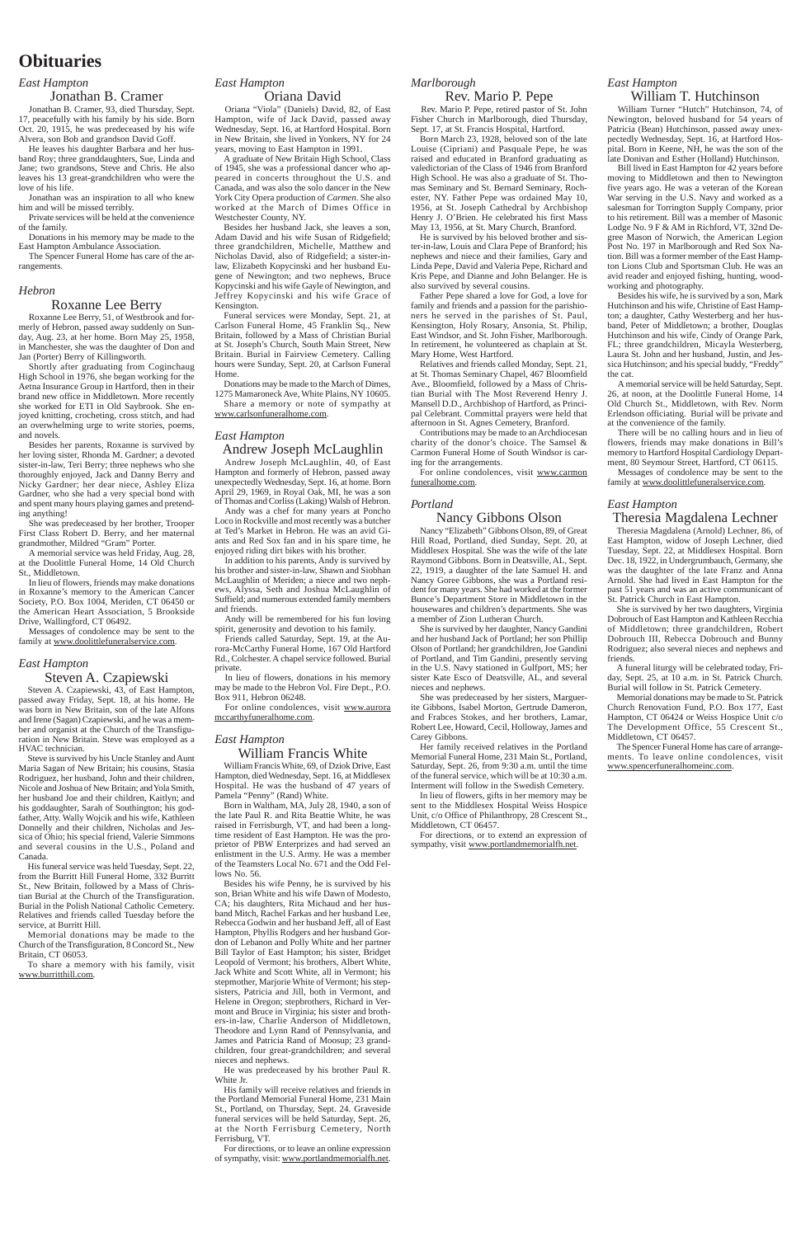## **Obituaries**

## *East Hampton*

## Jonathan B. Cramer

Jonathan B. Cramer, 93, died Thursday, Sept. 17, peacefully with his family by his side. Born Oct. 20, 1915, he was predeceased by his wife Alvera, son Bob and grandson David Goff.

He leaves his daughter Barbara and her husband Roy; three granddaughters, Sue, Linda and Jane; two grandsons, Steve and Chris. He also leaves his 13 great-grandchildren who were the love of his life.

Jonathan was an inspiration to all who knew him and will be missed terribly.

Private services will be held at the convenience of the family.

Donations in his memory may be made to the East Hampton Ambulance Association.

The Spencer Funeral Home has care of the arrangements.

## *Hebron*

## Roxanne Lee Berry

Roxanne Lee Berry, 51, of Westbrook and formerly of Hebron, passed away suddenly on Sunday, Aug. 23, at her home. Born May 25, 1958, in Manchester, she was the daughter of Don and Jan (Porter) Berry of Killingworth.

Shortly after graduating from Coginchaug High School in 1976, she began working for the Aetna Insurance Group in Hartford, then in their brand new office in Middletown. More recently she worked for ETI in Old Saybrook. She enjoyed knitting, crocheting, cross stitch, and had an overwhelming urge to write stories, poems, and novels.

Besides her parents, Roxanne is survived by her loving sister, Rhonda M. Gardner; a devoted sister-in-law, Teri Berry; three nephews who she thoroughly enjoyed, Jack and Danny Berry and Nicky Gardner; her dear niece, Ashley Eliza Gardner, who she had a very special bond with and spent many hours playing games and pretending anything!

Relatives and friends called Tuesday before the service, at Burritt Hill.

She was predeceased by her brother, Trooper First Class Robert D. Berry, and her maternal grandmother, Mildred "Gram" Porter.

A memorial service was held Friday, Aug. 28, at the Doolittle Funeral Home, 14 Old Church St., Middletown.

In lieu of flowers, friends may make donations in Roxanne's memory to the American Cancer Society, P.O. Box 1004, Meriden, CT 06450 or the American Heart Association, 5 Brookside Drive, Wallingford, CT 06492.

Messages of condolence may be sent to the family at www.doolittlefuneralservice.com.

## *East Hampton*

## Steven A. Czapiewski

Steven A. Czapiewski, 43, of East Hampton, passed away Friday, Sept. 18, at his home. He was born in New Britain, son of the late Alfons and Irene (Sagan) Czapiewski, and he was a member and organist at the Church of the Transfiguration in New Britain. Steve was employed as a HVAC technician.

Steve is survived by his Uncle Stanley and Aunt Maria Sagan of New Britain; his cousins, Stasia Rodriguez, her husband, John and their children, Nicole and Joshua of New Britain; and Yola Smith, her husband Joe and their children, Kaitlyn; and his goddaughter, Sarah of Southington; his godfather, Atty. Wally Wojcik and his wife, Kathleen Donnelly and their children, Nicholas and Jessica of Ohio; his special friend, Valerie Simmons and several cousins in the U.S., Poland and Canada.

His funeral service was held Tuesday, Sept. 22, from the Burritt Hill Funeral Home, 332 Burritt St., New Britain, followed by a Mass of Christian Burial at the Church of the Transfiguration. Burial in the Polish National Catholic Cemetery.

Memorial donations may be made to the Church of the Transfiguration, 8 Concord St., New Britain, CT 06053.

To share a memory with his family, visit www.burritthill.com.

## *East Hampton*

Oriana David

Oriana "Viola" (Daniels) David, 82, of East Hampton, wife of Jack David, passed away Wednesday, Sept. 16, at Hartford Hospital. Born in New Britain, she lived in Yonkers, NY for 24 years, moving to East Hampton in 1991.

A graduate of New Britain High School, Class of 1945, she was a professional dancer who appeared in concerts throughout the U.S. and Canada, and was also the solo dancer in the New York City Opera production of *Carmen*. She also worked at the March of Dimes Office in Westchester County, NY.

Besides her husband Jack, she leaves a son, Adam David and his wife Susan of Ridgefield; three grandchildren, Michelle, Matthew and Nicholas David, also of Ridgefield; a sister-inlaw, Elizabeth Kopycinski and her husband Eugene of Newington; and two nephews, Bruce Kopycinski and his wife Gayle of Newington, and Jeffrey Kopycinski and his wife Grace of Kensington.

Funeral services were Monday, Sept. 21, at Carlson Funeral Home, 45 Franklin Sq., New Britain, followed by a Mass of Christian Burial at St. Joseph's Church, South Main Street, New Britain. Burial in Fairview Cemetery. Calling hours were Sunday, Sept. 20, at Carlson Funeral Home.

Donations may be made to the March of Dimes, 1275 Mamaroneck Ave, White Plains, NY 10605. Share a memory or note of sympathy at www.carlsonfuneralhome.com.

> For online condolences, visit www.carmon funeralhome.com.

## *East Hampton*

## Andrew Joseph McLaughlin

Andrew Joseph McLaughlin, 40, of East Hampton and formerly of Hebron, passed away unexpectedly Wednesday, Sept. 16, at home. Born April 29, 1969, in Royal Oak, MI, he was a son of Thomas and Corliss (Laking) Walsh of Hebron.

Andy was a chef for many years at Poncho Loco in Rockville and most recently was a butcher at Ted's Market in Hebron. He was an avid Giants and Red Sox fan and in his spare time, he enjoyed riding dirt bikes with his brother.

In addition to his parents, Andy is survived by his brother and sister-in-law, Shawn and Siobhan McLaughlin of Meriden; a niece and two nephews, Alyssa, Seth and Joshua McLaughlin of Suffield; and numerous extended family members and friends.

> For directions, or to extend an expression of sympathy, visit www.portlandmemorialfh.net.

Andy will be remembered for his fun loving spirit, generosity and devotion to his family.

Friends called Saturday, Sept. 19, at the Aurora-McCarthy Funeral Home, 167 Old Hartford Rd., Colchester. A chapel service followed. Burial private.

In lieu of flowers, donations in his memory may be made to the Hebron Vol. Fire Dept., P.O. Box 911, Hebron 06248.

For online condolences, visit www.aurora mccarthyfuneralhome.com.

### *East Hampton*

## William Francis White

William Francis White, 69, of Dziok Drive, East Hampton, died Wednesday, Sept. 16, at Middlesex Hospital. He was the husband of 47 years of Pamela "Penny" (Rand) White.

Born in Waltham, MA, July 28, 1940, a son of the late Paul R. and Rita Beattie White, he was raised in Ferrisburgh, VT, and had been a longtime resident of East Hampton. He was the proprietor of PBW Enterprizes and had served an enlistment in the U.S. Army. He was a member of the Teamsters Local No. 671 and the Odd Fellows No. 56.

Besides his wife Penny, he is survived by his son, Brian White and his wife Dawn of Modesto, CA; his daughters, Rita Michaud and her hus-

band Mitch, Rachel Farkas and her husband Lee, Rebecca Godwin and her husband Jeff, all of East Hampton, Phyllis Rodgers and her husband Gordon of Lebanon and Polly White and her partner Bill Taylor of East Hampton; his sister, Bridget Leopold of Vermont; his brothers, Albert White, Jack White and Scott White, all in Vermont; his stepmother, Marjorie White of Vermont; his stepsisters, Patricia and Jill, both in Vermont, and Helene in Oregon; stepbrothers, Richard in Vermont and Bruce in Virginia; his sister and brothers-in-law, Charlie Anderson of Middletown, Theodore and Lynn Rand of Pennsylvania, and James and Patricia Rand of Moosup; 23 grandchildren, four great-grandchildren; and several nieces and nephews.

He was predeceased by his brother Paul R. White Jr.

His family will receive relatives and friends in the Portland Memorial Funeral Home, 231 Main St., Portland, on Thursday, Sept. 24. Graveside funeral services will be held Saturday, Sept. 26, at the North Ferrisburg Cemetery, North Ferrisburg, VT.

For directions, or to leave an online expression of sympathy, visit: www.portlandmemorialfh.net.

## *Marlborough*

## Rev. Mario P. Pepe

Rev. Mario P. Pepe, retired pastor of St. John Fisher Church in Marlborough, died Thursday, Sept. 17, at St. Francis Hospital, Hartford.

Born March 23, 1928, beloved son of the late Louise (Cipriani) and Pasquale Pepe, he was raised and educated in Branford graduating as valedictorian of the Class of 1946 from Branford High School. He was also a graduate of St. Thomas Seminary and St. Bernard Seminary, Rochester, NY. Father Pepe was ordained May 10, 1956, at St. Joseph Cathedral by Archbishop Henry J. O'Brien. He celebrated his first Mass May 13, 1956, at St. Mary Church, Branford.

He is survived by his beloved brother and sister-in-law, Louis and Clara Pepe of Branford; his nephews and niece and their families, Gary and Linda Pepe, David and Valeria Pepe, Richard and Kris Pepe, and Dianne and John Belanger. He is also survived by several cousins.

Father Pepe shared a love for God, a love for family and friends and a passion for the parishioners he served in the parishes of St. Paul, Kensington, Holy Rosary, Ansonia, St. Philip, East Windsor, and St. John Fisher, Marlborough. In retirement, he volunteered as chaplain at St. Mary Home, West Hartford.

Relatives and friends called Monday, Sept. 21, at St. Thomas Seminary Chapel, 467 Bloomfield Ave., Bloomfield, followed by a Mass of Christian Burial with The Most Reverend Henry J. Mansell D.D., Archbishop of Hartford, as Principal Celebrant. Committal prayers were held that afternoon in St. Agnes Cemetery, Branford.

Contributions may be made to an Archdiocesan charity of the donor's choice. The Samsel & Carmon Funeral Home of South Windsor is caring for the arrangements.

### *Portland*

## Nancy Gibbons Olson

Nancy "Elizabeth" Gibbons Olson, 89, of Great Hill Road, Portland, died Sunday, Sept. 20, at Middlesex Hospital. She was the wife of the late Raymond Gibbons. Born in Deatsville, AL, Sept. 22, 1919, a daughter of the late Samuel H. and Nancy Goree Gibbons, she was a Portland resident for many years. She had worked at the former Bunce's Department Store in Middletown in the housewares and children's departments. She was a member of Zion Lutheran Church.

She is survived by her daughter, Nancy Gandini and her husband Jack of Portland; her son Phillip Olson of Portland; her grandchildren, Joe Gandini of Portland, and Tim Gandini, presently serving in the U.S. Navy stationed in Gulfport, MS; her sister Kate Esco of Deatsville, AL, and several nieces and nephews.

She was predeceased by her sisters, Marguerite Gibbons, Isabel Morton, Gertrude Dameron, and Frabces Stokes, and her brothers, Lamar, Robert Lee, Howard, Cecil, Holloway, James and Carey Gibbons.

Her family received relatives in the Portland Memorial Funeral Home, 231 Main St., Portland, Saturday, Sept. 26, from 9:30 a.m. until the time of the funeral service, which will be at 10:30 a.m. Interment will follow in the Swedish Cemetery.

In lieu of flowers, gifts in her memory may be sent to the Middlesex Hospital Weiss Hospice Unit, c/o Office of Philanthropy, 28 Crescent St., Middletown, CT 06457.

## *East Hampton*

## William T. Hutchinson

William Turner "Hutch" Hutchinson, 74, of Newington, beloved husband for 54 years of Patricia (Bean) Hutchinson, passed away unexpectedly Wednesday, Sept. 16, at Hartford Hospital. Born in Keene, NH, he was the son of the late Donivan and Esther (Holland) Hutchinson.

Bill lived in East Hampton for 42 years before moving to Middletown and then to Newington five years ago. He was a veteran of the Korean War serving in the U.S. Navy and worked as a salesman for Torrington Supply Company, prior to his retirement. Bill was a member of Masonic Lodge No. 9 F & AM in Richford, VT, 32nd Degree Mason of Norwich, the American Legion Post No. 197 in Marlborough and Red Sox Nation. Bill was a former member of the East Hampton Lions Club and Sportsman Club. He was an avid reader and enjoyed fishing, hunting, woodworking and photography.

Besides his wife, he is survived by a son, Mark Hutchinson and his wife, Christine of East Hampton; a daughter, Cathy Westerberg and her husband, Peter of Middletown; a brother, Douglas Hutchinson and his wife, Cindy of Orange Park, FL; three grandchildren, Micayla Westerberg, Laura St. John and her husband, Justin, and Jessica Hutchinson; and his special buddy, "Freddy" the cat.

A memorial service will be held Saturday, Sept. 26, at noon, at the Doolittle Funeral Home, 14 Old Church St., Middletown, with Rev. Norm Erlendson officiating. Burial will be private and at the convenience of the family.

There will be no calling hours and in lieu of flowers, friends may make donations in Bill's memory to Hartford Hospital Cardiology Department, 80 Seymour Street, Hartford, CT 06115.

Messages of condolence may be sent to the family at www.doolittlefuneralservice.com.

## *East Hampton*

## Theresia Magdalena Lechner

Theresia Magdalena (Arnold) Lechner, 86, of East Hampton, widow of Joseph Lechner, died Tuesday, Sept. 22, at Middlesex Hospital. Born Dec. 18, 1922, in Undergrumbauch, Germany, she was the daughter of the late Franz and Anna Arnold. She had lived in East Hampton for the past 51 years and was an active communicant of St. Patrick Church in East Hampton.

She is survived by her two daughters, Virginia Dobrouch of East Hampton and Kathleen Recchia of Middletown; three grandchildren, Robert Dobrouch III, Rebecca Dobrouch and Bunny Rodriguez; also several nieces and nephews and friends.

A funeral liturgy will be celebrated today, Friday, Sept. 25, at 10 a.m. in St. Patrick Church. Burial will follow in St. Patrick Cemetery.

Memorial donations may be made to St. Patrick Church Renovation Fund, P.O. Box 177, East Hampton, CT 06424 or Weiss Hospice Unit c/o The Development Office, 55 Crescent St., Middletown, CT 06457.

The Spencer Funeral Home has care of arrangements. To leave online condolences, visit www.spencerfuneralhomeinc.com.